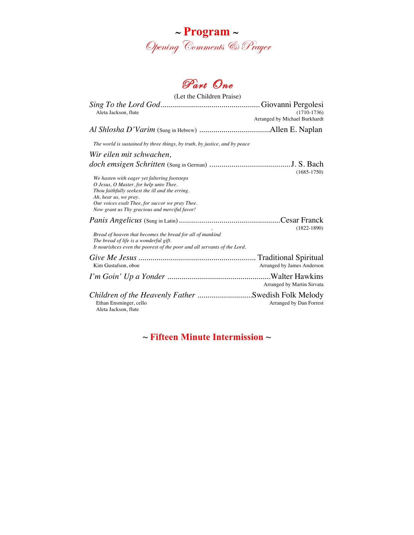



| (Let the Children Praise)                                                                                                                                                                                                                                              |                                                |  |
|------------------------------------------------------------------------------------------------------------------------------------------------------------------------------------------------------------------------------------------------------------------------|------------------------------------------------|--|
| Aleta Jackson, flute                                                                                                                                                                                                                                                   | $(1710-1736)$<br>Arranged by Michael Burkhardt |  |
|                                                                                                                                                                                                                                                                        |                                                |  |
| The world is sustained by three things, by truth, by justice, and by peace                                                                                                                                                                                             |                                                |  |
| Wir eilen mit schwachen,                                                                                                                                                                                                                                               |                                                |  |
|                                                                                                                                                                                                                                                                        | $(1685 - 1750)$                                |  |
| We hasten with eager yet faltering footsteps<br>O Jesus, O Master, for help unto Thee.<br>Thou faithfully seekest the ill and the erring.<br>Ah, hear us, we pray.<br>Our voices exalt Thee, for succor we pray Thee.<br>Now grant us Thy gracious and merciful favor! |                                                |  |
|                                                                                                                                                                                                                                                                        | $(1822 - 1890)$                                |  |
| Bread of heaven that becomes the bread for all of mankind<br>The bread of life is a wonderful gift.<br>It nourishces even the poorest of the poor and all servants of the Lord.                                                                                        |                                                |  |
| Kim Gustafson, oboe                                                                                                                                                                                                                                                    | Arranged by James Anderson                     |  |
|                                                                                                                                                                                                                                                                        | Arranged by Martin Sirvata                     |  |
| Children of the Heavenly Father Swedish Folk Melody<br>Ethan Ensminger, cello<br>Aleta Jackson, flute                                                                                                                                                                  | Arranged by Dan Forrest                        |  |

**~ Fifteen Minute Intermission ~**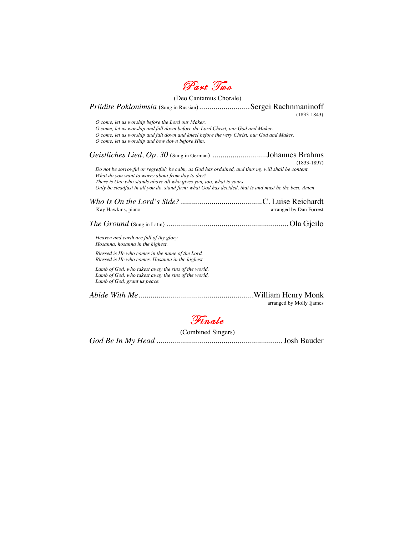

(Deo Cantamus Chorale) *Priidite Poklonimsia* (Sung in Russian).........................Sergei Rachnmaninoff(1833-1843) *O come, let us worship before the Lord our Maker. O come, let us worship and fall down before the Lord Christ, our God and Maker. O come, let us worship and fall down and kneel before the very Christ, our God and Maker. O come, let us worship and bow down before Him. Geistliches Lied, Op. 30* (Sung in German) ...........................Johannes Brahms (1833-1897) *Do not be sorrowful or regretful; be calm, as God has ordained, and thus my will shall be content. What do you want to worry about from day to day? There is One who stands above all who gives you, too, what is yours. Only be steadfast in all you do, stand firm; what God has decided, that is and must be the best. Amen Who Is On the Lord's Side?*........................................C. Luise Reichardt Kay Hawkins, piano arranged by Dan Forrest *The Ground* (Sung in Latin) ............................................................ Ola Gjeilo *Heaven and earth are full of thy glory. Hosanna, hosanna in the highest. Blessed is He who comes in the name of the Lord. Blessed is He who comes. Hosanna in the highest. Lamb of God, who takest away the sins of the world, Lamb of God, who takest away the sins of the world, Lamb of God, grant us peace. Abide With Me.........................................................*William Henry Monk arranged by Molly Ijames



(Combined Singers)

*God Be In My Head* .............................................................. Josh Bauder